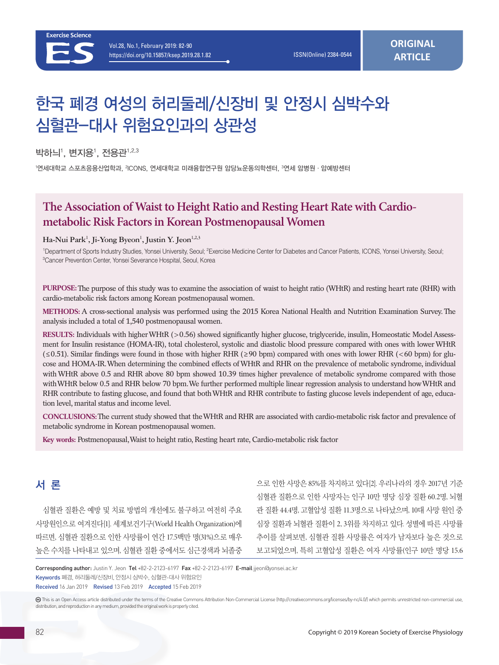# 한국 폐경 여성의 허리둘레/신장비 및 안정시 심박수와 심혈관-대사 위험요인과의 상관성

박하늬', 변지용', 전용관 $^{1,2.3}$ 

'연세대학교 스포츠응용산업학과, <sup>2</sup>ICONS, 연세대학교 미래융합연구원 암당뇨운동의학센터, <sup>3</sup>연세 암병원 · 암예방센터

# **The Association of Waist to Height Ratio and Resting Heart Rate with Cardiometabolic Risk Factors in Korean Postmenopausal Women**

#### Ha-Nui Park<sup>1</sup>, Ji-Yong Byeon<sup>1</sup>, Justin Y. Jeon<sup>1,2,3</sup>

<sup>1</sup>Department of Sports Industry Studies, Yonsei University, Seoul; <sup>2</sup>Exercise Medicine Center for Diabetes and Cancer Patients, ICONS, Yonsei University, Seoul;<br><sup>3</sup>Cancer Prevention Center Yonsei Severance Hospital, Seou Cancer Prevention Center, Yonsei Severance Hospital, Seoul, Korea

**PURPOSE:** The purpose of this study was to examine the association of waist to height ratio (WHtR) and resting heart rate (RHR) with cardio-metabolic risk factors among Korean postmenopausal women.

**METHODS:** A cross-sectional analysis was performed using the 2015 Korea National Health and Nutrition Examination Survey. The analysis included a total of 1,540 postmenopausal women.

**RESULTS:** Individuals with higher WHtR (>0.56) showed significantly higher glucose, triglyceride, insulin, Homeostatic Model Assessment for Insulin resistance (HOMA-IR), total cholesterol, systolic and diastolic blood pressure compared with ones with lower WHtR  $(\leq 0.51)$ . Similar findings were found in those with higher RHR ( $\geq 90$  bpm) compared with ones with lower RHR ( $\lt 60$  bpm) for glucose and HOMA-IR. When determining the combined effects of WHtR and RHR on the prevalence of metabolic syndrome, individual with WHtR above 0.5 and RHR above 80 bpm showed 10.39 times higher prevalence of metabolic syndrome compared with those with WHtR below 0.5 and RHR below 70 bpm. We further performed multiple linear regression analysis to understand how WHtR and RHR contribute to fasting glucose, and found that both WHtR and RHR contribute to fasting glucose levels independent of age, education level, marital status and income level.

**CONCLUSIONS:** The current study showed that the WHtR and RHR are associated with cardio-metabolic risk factor and prevalence of metabolic syndrome in Korean postmenopausal women.

**Key words:** Postmenopausal, Waist to height ratio, Resting heart rate, Cardio-metabolic risk factor

# 서 론

심혈관 질환은 예방 및 치료 방법의 개선에도 불구하고 여전히 주요 사망원인으로 여겨진다[1]. 세계보건기구(World Health Organization)에 따르면, 심혈관 질환으로 인한 사망률이 연간 17.5백만 명(31%)으로 매우 높은 수치를 나타내고 있으며, 심혈관 질환 중에서도 심근경색과 뇌졸중

으로 인한 사망은 85%를 차지하고 있다[2]. 우리나라의 경우 2017년 기준 심혈관 질환으로 인한 사망자는 인구 10만 명당 심장 질환 60.2명, 뇌혈 관 질환 44.4명, 고혈압성 질환 11.3명으로 나타났으며, 10대 사망 원인 중 심장 질환과 뇌혈관 질환이 2, 3위를 차지하고 있다. 성별에 따른 사망률 추이를 살펴보면, 심혈관 질환 사망률은 여자가 남자보다 높은 것으로 보고되었으며, 특히 고혈압성 질환은 여자 사망률(인구 10만 명당 15.6

Corresponding author: Justin Y. Jeon Tel +82-2-2123-6197 Fax +82-2-2123-6197 E-mail jjeon@yonsei.ac.kr Keywords 폐경, 허리둘레/신장비, 안정시 심박수, 심혈관-대사 위험요인 Received 16 Jan 2019 Revised 13 Feb 2019 Accepted 15 Feb 2019

 This is an Open Access article distributed under the terms of the Creative Commons Attribution Non-Commercial License (http://creativecommons.org/licenses/by-nc/4.0/) which permits unrestricted non-commercial use, distribution, and reproduction in any medium, provided the original work is properly cited.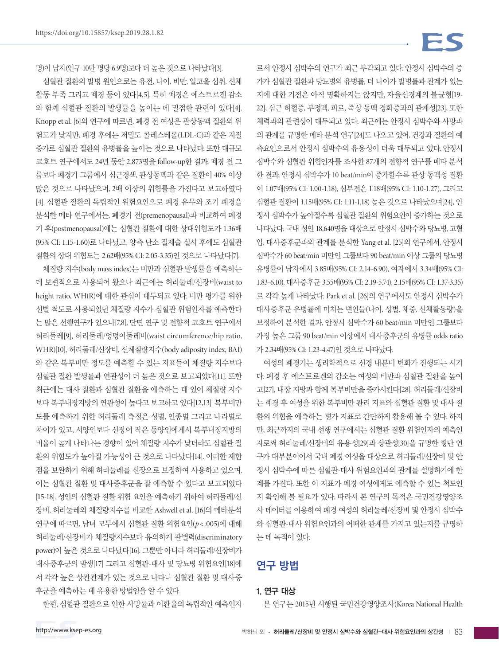# FS

로서 안정시 심박수의 연구가 최근 부각되고 있다. 안정시 심박수의 증 가가 심혈관 질환과 당뇨병의 유병률, 더 나아가 발병률과 관계가 있는 지에 대한 기전은 아직 명확하지는 않지만, 자율신경계의 불균형[19- 22], 심근 허혈증, 부정맥, 피로, 죽상 동맥 경화증과의 관계성[23], 또한 체력과의 관련성이 대두되고 있다. 최근에는 안정시 심박수와 사망과 의 관계를 규명한 메타 분석 연구[24]도 나오고 있어, 건강과 질환의 예 측요인으로서 안정시 심박수의 유용성이 더욱 대두되고 있다. 안정시 심박수와 심혈관 위험인자를 조사한 87개의 전향적 연구를 메타 분석 한 결과, 안정시 심박수가 10 beat/min이 증가할수록 관상 동맥성 질환 이 1.07배(95% CI: 1.00-1.18), 심부전은 1.18배(95% CI: 1.10-1.27), 그리고 심혈관 질환이 1.15배(95% CI: 1.11-1.18) 높은 것으로 나타났으며[24], 안 정시 심박수가 높아질수록 심혈관 질환의 위험요인이 증가하는 것으로 나타났다. 국내 성인 18,640명을 대상으로 안정시 심박수와 당뇨병, 고혈 압, 대사증후군과의 관계를 분석한 Yang et al. [25]의 연구에서, 안정시 심박수가 60 beat/min 미만인 그룹보다 90 beat/min 이상 그룹의 당뇨병 유병률이 남자에서 3.85배(95% CI: 2.14-6.90), 여자에서 3.34배(95% CI: 1.83-6.10), 대사증후군 3.55배(95% CI: 2.19-5.74), 2.15배(95% CI: 1.37-3.35) 로 각각 높게 나타났다. Park et al. [26]의 연구에서도 안정시 심박수가 대사증후군 유병률에 미치는 변인들(나이, 성별, 체중, 신체활동량)을 보정하여 분석한 결과, 안정시 심박수가 60 beat/min 미만인 그룹보다 가장 높은 그룹 90 beat/min 이상에서 대사증후군의 유병률 odds ratio 가 2.34배(95% CI: 1.23-4.47)인 것으로 나타났다.

여성의 폐경기는 생리학적으로 신경 내분비 변화가 진행되는 시기 다. 폐경 후 에스트로겐의 감소는 여성의 비만과 심혈관 질환을 높이 고[27], 내장 지방과 함께 복부비만을 증가시킨다[28]. 허리둘레/신장비 는 폐경 후 여성을 위한 복부비만 관리 지표와 심혈관 질환 및 대사 질 환의 위험을 예측하는 평가 지표로 간단하게 활용해 볼 수 있다. 하지 만, 최근까지의 국내 선행 연구에서는 심혈관 질환 위험인자의 예측인 자로써 허리둘레/신장비의 유용성[29]과 상관성[30]을 규명한 횡단 연 구가 대부분이어서 국내 폐경 여성을 대상으로 허리둘레/신장비 및 안 정시 심박수에 따른 심혈관-대사 위험요인과의 관계를 설명하기에 한 계를 가진다. 또한 이 지표가 폐경 여성에게도 예측할 수 있는 척도인 지 확인해 볼 필요가 있다. 따라서 본 연구의 목적은 국민건강영양조 사 데이터를 이용하여 폐경 여성의 허리둘레/신장비 및 안정시 심박수 와 심혈관-대사 위험요인과의 어떠한 관계를 가지고 있는지를 규명하 는 데 목적이 있다.

# 연구 방법

#### 1. 연구 대상

본 연구는 2015년 시행된 국민건강영양조사(Korea National Health

명)이 남자(인구 10만 명당 6.9명)보다 더 높은 것으로 나타났다[3].

심혈관 질환의 발병 원인으로는 유전, 나이, 비만, 알코올 섭취, 신체 활동 부족 그리고 폐경 등이 있다[4,5]. 특히 폐경은 에스트로겐 감소 와 함께 심혈관 질환의 발생률을 높이는 데 밀접한 관련이 있다[4]. Knopp et al. [6]의 연구에 따르면, 폐경 전 여성은 관상동맥 질환의 위 험도가 낮지만, 폐경 후에는 저밀도 콜레스테롤(LDL-C)과 같은 지질 증가로 심혈관 질환의 유병률을 높이는 것으로 나타났다. 또한 대규모 코호트 연구에서도 24년 동안 2,873명을 follow-up한 결과, 폐경 전 그 룹보다 폐경기 그룹에서 심근경색, 관상동맥과 같은 질환이 40% 이상 많은 것으로 나타났으며, 2배 이상의 위험률을 가진다고 보고하였다 [4]. 심혈관 질환의 독립적인 위험요인으로 폐경 유무와 조기 폐경을 분석한 메타 연구에서는, 폐경기 전(premenopausal)과 비교하여 폐경 기 후(postmenopausal)에는 심혈관 질환에 대한 상대위험도가 1.36배 (95% CI: 1.15-1.60)로 나타났고, 양측 난소 절제술 실시 후에도 심혈관 질환의 상대 위험도는 2.62배(95% CI: 2.05-3.35)인 것으로 나타났다[7].

체질량 지수(body mass index)는 비만과 심혈관 발생률을 예측하는 데 보편적으로 사용되어 왔으나 최근에는 허리둘레/신장비(waist to height ratio, WHtR)에 대한 관심이 대두되고 있다. 비만 평가를 위한 선별 척도로 사용되었던 체질량 지수가 심혈관 위험인자를 예측한다 는 많은 선행연구가 있으나[7,8], 단면 연구 및 전향적 코호트 연구에서 허리둘레[9], 허리둘레/엉덩이둘레비(waist circumference/hip ratio, WHR)[10], 허리둘레/신장비, 신체질량지수(body adiposity index, BAI) 와 같은 복부비만 정도를 예측할 수 있는 지표들이 체질량 지수보다 심혈관 질환 발생률과 연관성이 더 높은 것으로 보고되었다[11]. 또한 최근에는 대사 질환과 심혈관 질환을 예측하는 데 있어 체질량 지수 보다 복부내장지방의 연관성이 높다고 보고하고 있다[12,13]. 복부비만 도를 예측하기 위한 허리둘레 측정은 성별, 인종별 그리고 나라별로 차이가 있고, 서양인보다 신장이 작은 동양인에게서 복부내장지방의 비율이 높게 나타나는 경향이 있어 체질량 지수가 낮더라도 심혈관 질 환의 위험도가 높아질 가능성이 큰 것으로 나타났다[14]. 이러한 제한 점을 보완하기 위해 허리둘레를 신장으로 보정하여 사용하고 있으며, 이는 심혈관 질환 및 대사증후군을 잘 예측할 수 있다고 보고되었다 [15-18]. 성인의 심혈관 질환 위험 요인을 예측하기 위하여 허리둘레/신 장비, 허리둘레와 체질량지수를 비교한 Ashwell et al. [16]의 메타분석 연구에 따르면, 남녀 모두에서 심혈관 질환 위험요인(*p*< .005)에 대해 허리둘레/신장비가 체질량지수보다 유의하게 판별력(discriminatory power)이 높은 것으로 나타났다[16]. 그뿐만 아니라 허리둘레/신장비가 대사증후군의 발생[17] 그리고 심혈관-대사 및 당뇨병 위험요인[18]에 서 각각 높은 상관관계가 있는 것으로 나타나 심혈관 질환 및 대사증 후군을 예측하는 데 유용한 방법임을 알 수 있다.

한편, 심혈관 질환으로 인한 사망률과 이환율의 독립적인 예측인자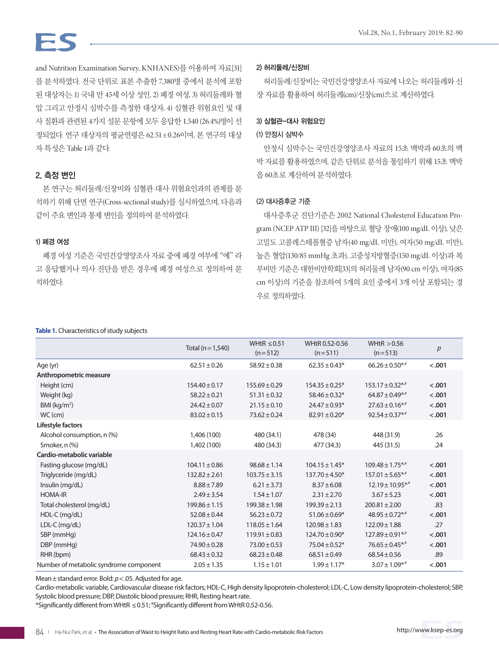and Nutrition Examination Survey, KNHANES)를 이용하여 자료[31] 를 분석하였다. 전국 단위로 표본 추출한 7,380명 중에서 분석에 포함 된 대상자는 1) 국내 만 45세 이상 성인, 2) 폐경 여성, 3) 허리둘레와 혈 압 그리고 안정시 심박수를 측정한 대상자, 4) 심혈관 위험요인 및 대 사 질환과 관련된 4가지 설문 문항에 모두 응답한 1,540 (26.4%)명이 선 정되었다. 연구 대상자의 평균연령은 62.51±0.26이며, 본 연구의 대상 자 특성은 Table 1과 같다.

### 2. 측정 변인

본 연구는 허리둘레/신장비와 심혈관-대사 위험요인과의 관계를 분 석하기 위해 단면 연구(Cross-sectional study)를 실시하였으며, 다음과 같이 주요 변인과 통제 변인을 정의하여 분석하였다.

### 1) 폐경 여성

폐경 여성 기준은 국민건강영양조사 자료 중에 폐경 여부에 "예" 라 고 응답했거나 의사 진단을 받은 경우에 폐경 여성으로 정의하여 분 석하였다.

#### 2) 허리둘레/신장비

허리둘레/신장비는 국민건강영양조사 자료에 나오는 허리둘레와 신 장 자료를 활용하여 허리둘레(cm)/신장(cm)으로 계산하였다.

#### 3) 심혈관-대사 위험요인

#### (1) 안정시 심박수

안정시 심박수는 국민건강영양조사 자료의 15초 맥박과 60초의 맥 박 자료를 활용하였으며, 같은 단위로 분석을 통일하기 위해 15초 맥박 을 60초로 계산하여 분석하였다.

#### (2) 대사증후군 기준

대사증후군 진단기준은 2002 National Cholesterol Education Program (NCEP ATP III) [32]을 바탕으로 혈당 장애(100 mg/dL 이상), 낮은 고밀도 고콜레스테롤혈증 남자(40 mg/dL 미만), 여자(50 mg/dL 미만), 높은 혈압(130/85 mmHg 초과), 고중성지방혈증(150 mg/dL 이상)과 복 부비만 기준은 대한비만학회[33]의 허리둘레 남자(90 cm 이상), 여자(85 cm 이상)의 기준을 참조하여 5개의 요인 중에서 3개 이상 포함되는 경 우로 정의하였다.

#### **Table 1.** Characteristics of study subjects

|                                        | Total ( $n = 1,540$ ) | WHtR $\leq$ 0.51<br>$(n=512)$ | WHtR 0.52-0.56<br>$(n=511)$ | WHtR $> 0.56$<br>$(n=513)$       | р      |
|----------------------------------------|-----------------------|-------------------------------|-----------------------------|----------------------------------|--------|
| Age (yr)                               | $62.51 \pm 0.26$      | $58.92 \pm 0.38$              | $62.35 \pm 0.43*$           | $66.26 \pm 0.50$ */*             | < .001 |
| Anthropometric measure                 |                       |                               |                             |                                  |        |
| Height (cm)                            | $154.40 \pm 0.17$     | $155.69 \pm 0.29$             | $154.35 \pm 0.25*$          | $153.17 \pm 0.32$ **             | < .001 |
| Weight (kg)                            | $58.22 \pm 0.21$      | $51.31 \pm 0.32$              | $58.46 \pm 0.32*$           | $64.87 \pm 0.49$ */*             | < .001 |
| BMI ( $kg/m2$ )                        | $24.42 \pm 0.07$      | $21.15 \pm 0.10$              | $24.47 \pm 0.93*$           | $27.63 \pm 0.16$ *,#             | < .001 |
| $WC$ (cm)                              | $83.02 \pm 0.15$      | $73.62 \pm 0.24$              | $82.91 \pm 0.20*$           | $92.54 \pm 0.37$ */*             | < .001 |
| Lifestyle factors                      |                       |                               |                             |                                  |        |
| Alcohol consumption, n (%)             | 1,406 (100)           | 480 (34.1)                    | 478 (34)                    | 448 (31.9)                       | .26    |
| Smoker, n (%)                          | 1,402 (100)           | 480 (34.3)                    | 477 (34.3)                  | 445 (31.5)                       | .24    |
| Cardio-metabolic variable              |                       |                               |                             |                                  |        |
| Fasting glucose (mg/dL)                | $104.11 \pm 0.86$     | $98.68 \pm 1.14$              | $104.15 \pm 1.45*$          | $109.48 \pm 1.75$ * <sup>*</sup> | < .001 |
| Triglyceride (mg/dL)                   | $132.82 \pm 2.61$     | $103.75 \pm 3.15$             | $137.70 \pm 4.50*$          | $157.01 \pm 5.65$ **             | < .001 |
| Insulin (mg/dL)                        | $8.88 \pm 7.89$       | $6.21 \pm 3.73$               | $8.37 \pm 6.08$             | $12.19 \pm 10.95$ */*            | < .001 |
| <b>HOMA-IR</b>                         | $2.49 \pm 3.54$       | $1.54 \pm 1.07$               | $2.31 \pm 2.70$             | $3.67 \pm 5.23$                  | < .001 |
| Total cholesterol (mg/dL)              | $199.86 \pm 1.15$     | $199.38 \pm 1.98$             | $199.39 \pm 2.13$           | $200.81 \pm 2.00$                | .83    |
| HDL-C (mg/dL)                          | $52.08 \pm 0.44$      | $56.23 \pm 0.72$              | $51.06 \pm 0.69*$           | $48.95 \pm 0.72$ * <sup>*</sup>  | < .001 |
| LDL-C (mg/dL)                          | $120.37 \pm 1.04$     | $118.05 \pm 1.64$             | $120.98 \pm 1.83$           | $122.09 \pm 1.88$                | .27    |
| SBP (mmHq)                             | $124.16 \pm 0.47$     | $119.91 \pm 0.83$             | $124.70 \pm 0.90*$          | $127.89 \pm 0.91$ **             | < .001 |
| DBP (mmHg)                             | $74.90 \pm 0.28$      | $73.00 \pm 0.53$              | $75.04 \pm 0.52*$           | $76.65 \pm 0.45$ */*             | < .001 |
| RHR (bpm)                              | $68.43 \pm 0.32$      | $68.23 \pm 0.48$              | $68.51 \pm 0.49$            | $68.54 \pm 0.56$                 | .89    |
| Number of metabolic syndrome component | $2.05 \pm 1.35$       | $1.15 \pm 1.01$               | $1.99 \pm 1.17*$            | $3.07 \pm 1.09$ */*              | < .001 |

Mean±standard error. Bold: *p*<.05. Adjusted for age.

Cardio-metabolic variable, Cardiovascular disease risk factors; HDL-C, High density lipoprotein-cholesterol; LDL-C, Low density lipoprotein-cholesterol; SBP, Systolic blood pressure; DBP, Diastolic blood pressure; RHR, Resting heart rate.

\*Significantly different from WHtR ≤0.51; # Significantly different from WHtR 0.52-0.56.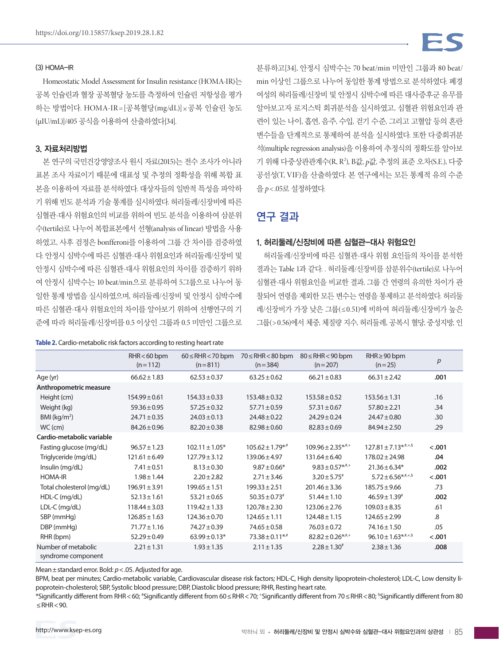#### (3) HOMA-IR

Homeostatic Model Assessment for Insulin resistance (HOMA-IR)는 공복 인슐린과 혈장 공복혈당 농도를 측정하여 인슐린 저항성을 평가 하는 방법이다. HOMA-IR =[공복혈당(mg/dL)]×공복 인슐린 농도 (µIU/mL)]/405 공식을 이용하여 산출하였다[34].

#### 3. 자료처리방법

본 연구의 국민건강영양조사 원시 자료(2015)는 전수 조사가 아니라 표본 조사 자료이기 때문에 대표성 및 추정의 정확성을 위해 복합 표 본을 이용하여 자료를 분석하였다. 대상자들의 일반적 특성을 파악하 기 위해 빈도 분석과 기술 통계를 실시하였다. 허리둘레/신장비에 따른 심혈관-대사 위험요인의 비교를 위하여 빈도 분석을 이용하여 삼분위 수(tertile)로 나누어 복합표본에서 선형(analysis of linear) 방법을 사용 하였고, 사후 검정은 bonfferoni를 이용하여 그룹 간 차이를 검증하였 다. 안정시 심박수에 따른 심혈관-대사 위험요인과 허리둘레/신장비 및 안정시 심박수에 따른 심혈관-대사 위험요인의 차이를 검증하기 위하 여 안정시 심박수는 10 beat/min으로 분류하여 5그룹으로 나누어 동 일한 통계 방법을 실시하였으며, 허리둘레/신장비 및 안정시 심박수에 따른 심혈관-대사 위험요인의 차이를 알아보기 위하여 선행연구의 기 준에 따라 허리둘레/신장비를 0.5 이상인 그룹과 0.5 미만인 그룹으로

#### **Table 2.** Cardio-metabolic risk factors according to resting heart rate

분류하고[34], 안정시 심박수는 70 beat/min 미만인 그룹과 80 beat/ min 이상인 그룹으로 나누어 동일한 통계 방법으로 분석하였다. 폐경 여성의 허리둘레/신장비 및 안정시 심박수에 따른 대사증후군 유무를 알아보고자 로지스틱 회귀분석을 실시하였고, 심혈관 위험요인과 관 련이 있는 나이, 흡연, 음주, 수입, 걷기 수준, 그리고 고혈압 등의 혼란 변수들을 단계적으로 통제하여 분석을 실시하였다. 또한 다중회귀분 석(multiple regression analysis)을 이용하여 추정식의 정확도를 알아보 기 위해 다중상관관계수(R, R2 ), B값, *p*값, 추정의 표준 오차(S.E.), 다중 공선성(T, VIF)을 산출하였다. 본 연구에서는 모든 통계적 유의 수준 을 *p*< .05로 설정하였다.

# 연구 결과

#### 1. 허리둘레/신장비에 따른 심혈관-대사 위험요인

허리둘레/신장비에 따른 심혈관-대사 위험 요인들의 차이를 분석한 결과는 Table 1과 같다. . 허리둘레/신장비를 삼분위수(tertile)로 나누어 심혈관-대사 위험요인을 비교한 결과, 그룹 간 연령의 유의한 차이가 관 찰되어 연령을 제외한 모든 변수는 연령을 통제하고 분석하였다. 허리둘 레/신장비가 가장 낮은 그룹(≤ 0.51)에 비하여 허리둘레/신장비가 높은 그룹(> 0.56)에서 체중, 체질량 지수, 허리둘레, 공복시 혈당, 중성지방, 인

|                                           | $RHR < 60$ bpm<br>$(n=112)$ | $60 \leq$ RHR $<$ 70 bpm<br>$(n=811)$ | $70 \leq RHR < 80$ bpm<br>$(n=384)$ | $80 \leq RHR < 90$ bpm<br>$(n=207)$ | $RHR \geq 90$ bpm<br>$(n=25)$ | p      |
|-------------------------------------------|-----------------------------|---------------------------------------|-------------------------------------|-------------------------------------|-------------------------------|--------|
| Age (yr)                                  | $66.62 \pm 1.83$            | $62.53 \pm 0.37$                      | $63.25 \pm 0.62$                    | $66.21 \pm 0.83$                    | $66.31 \pm 2.42$              | .001   |
| Anthropometric measure                    |                             |                                       |                                     |                                     |                               |        |
| Height (cm)                               | $154.99 \pm 0.61$           | $154.33 \pm 0.33$                     | $153.48 \pm 0.32$                   | $153.58 \pm 0.52$                   | $153.56 \pm 1.31$             | .16    |
| Weight (kg)                               | $59.36 \pm 0.95$            | $57.25 \pm 0.32$                      | $57.71 \pm 0.59$                    | $57.31 \pm 0.67$                    | $57.80 \pm 2.21$              | .34    |
| BMI ( $kg/m2$ )                           | $24.71 \pm 0.35$            | $24.03 \pm 0.13$                      | $24.48 \pm 0.22$                    | $24.29 \pm 0.24$                    | $24.47 \pm 0.80$              | .30    |
| $WC$ (cm)                                 | $84.26 \pm 0.96$            | $82.20 \pm 0.38$                      | $82.98 \pm 0.60$                    | $82.83 \pm 0.69$                    | $84.94 \pm 2.50$              | .29    |
| Cardio-metabolic variable                 |                             |                                       |                                     |                                     |                               |        |
| Fasting glucose (mg/dL)                   | $96.57 \pm 1.23$            | $102.11 \pm 1.05*$                    | $105.62 \pm 1.79$ */*               | $109.96 \pm 2.35$ ** <sup>*</sup>   | $127.81 \pm 7.13^{*,\#,+,\S}$ | < .001 |
| Triglyceride (mg/dL)                      | $121.61 \pm 6.49$           | $127.79 \pm 3.12$                     | $139.06 \pm 4.97$                   | $131.64 \pm 6.40$                   | $178.02 \pm 24.98$            | .04    |
| Insulin (mg/dL)                           | $7.41 \pm 0.51$             | $8.13 \pm 0.30$                       | $9.87 \pm 0.66*$                    | $9.83 \pm 0.57$ **,*                | $21.36 \pm 6.34*$             | .002   |
| <b>HOMA-IR</b>                            | $1.98 \pm 1.44$             | $2.20 \pm 2.82$                       | $2.71 \pm 3.46$                     | $3.20 \pm 5.75^*$                   | $5.72 \pm 6.56$ *,#,+,§       | < .001 |
| Total cholesterol (mg/dL)                 | $196.91 \pm 3.91$           | $199.65 \pm 1.51$                     | $199.33 \pm 2.51$                   | $201.46 \pm 3.36$                   | $185.75 \pm 9.66$             | .73    |
| HDL-C (mg/dL)                             | $52.13 \pm 1.61$            | $53.21 \pm 0.65$                      | $50.35 \pm 0.73$ <sup>#</sup>       | $51.44 \pm 1.10$                    | $46.59 \pm 1.39^*$            | .002   |
| LDL-C (mg/dL)                             | $118.44 \pm 3.03$           | $119.42 \pm 1.33$                     | $120.78 \pm 2.30$                   | $123.06 \pm 2.76$                   | $109.03 \pm 8.35$             | .61    |
| SBP (mmHg)                                | $126.85 \pm 1.63$           | $124.36 \pm 0.70$                     | $124.65 \pm 1.11$                   | $124.48 \pm 1.15$                   | $124.65 \pm 2.99$             | .8     |
| DBP (mmHg)                                | $71.77 \pm 1.16$            | $74.27 \pm 0.39$                      | $74.65 \pm 0.58$                    | $76.03 \pm 0.72$                    | $74.16 \pm 1.50$              | .05    |
| RHR (bpm)                                 | $52.29 \pm 0.49$            | $63.99 \pm 0.13*$                     | $73.38 \pm 0.11$ * <sup>*</sup>     | $82.82 \pm 0.26$ *,#,+              | $96.10 \pm 1.63$ *,#,+,§      | < .001 |
| Number of metabolic<br>syndrome component | $2.21 \pm 1.31$             | $1.93 \pm 1.35$                       | $2.11 \pm 1.35$                     | $2.28 \pm 1.30^*$                   | $2.38 \pm 1.36$               | .008   |

Mean±standard error. Bold: *p*<.05. Adjusted for age.

BPM, beat per minutes; Cardio-metabolic variable, Cardiovascular disease risk factors; HDL-C, High density lipoprotein-cholesterol; LDL-C, Low density lipoprotein-cholesterol; SBP, Systolic blood pressure; DBP, Diastolic blood pressure; RHR, Resting heart rate.

\*Significantly different from RHR<60; # Significantly different from 60≤RHR<70; + Significantly different from 70≤RHR<80; § Significantly different from 80 ≤RHR<90.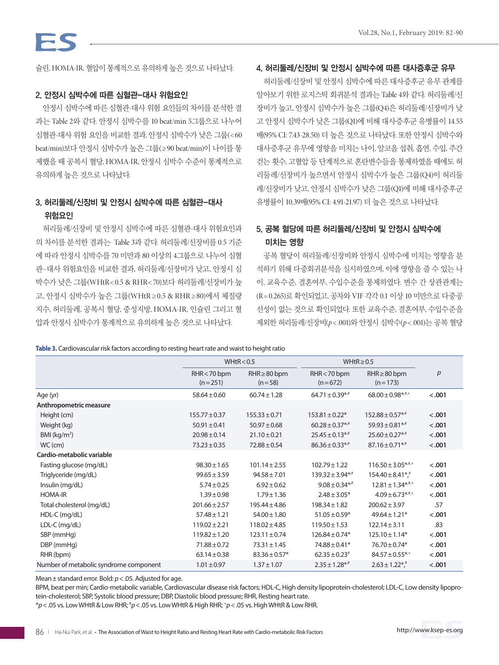슐린, HOMA-IR, 혈압이 통계적으로 유의하게 높은 것으로 나타났다.

#### 2. 안정시 심박수에 따른 심혈관-대사 위험요인

안정시 심박수에 따른 심혈관-대사 위험 요인들의 차이를 분석한 결 과는 Table 2와 같다. 안정시 심박수를 10 beat/min 5그룹으로 나누어 심혈관-대사 위험 요인을 비교한 결과, 안정시 심박수가 낮은 그룹(<60 beat/min)보다 안정시 심박수가 높은 그룹(≥ 90 beat/min)이 나이를 통 제했을 때 공복시 혈당, HOMA-IR, 안정시 심박수 수준이 통계적으로 유의하게 높은 것으로 나타났다.

# 3. 허리둘레/신장비 및 안정시 심박수에 따른 심혈관-대사 위험요인

허리둘레/신장비 및 안정시 심박수에 따른 심혈관-대사 위험요인과 의 차이를 분석한 결과는 Table 3과 같다. 허리둘레/신장비를 0.5 기준 에 따라 안정시 심박수를 70 미만과 80 이상의 4그룹으로 나누어 심혈 관–대사 위험요인을 비교한 결과, 허리둘레/신장비가 낮고, 안정시 심 박수가 낮은 그룹(WHtR< 0.5 & RHR< 70)보다 허리둘레/신장비가 높 고, 안정시 심박수가 높은 그룹(WHtR ≥ 0.5 & RHR ≥80)에서 체질량 지수, 허리둘레, 공복시 혈당, 중성지방, HOMA-IR, 인슐린 그리고 혈 압과 안정시 심박수가 통계적으로 유의하게 높은 것으로 나타났다.

#### 4. 허리둘레/신장비 및 안정시 심박수에 따른 대사증후군 유무

허리둘레/신장비 및 안정시 심박수에 따른 대사증후군 유무 관계를 알아보기 위한 로지스틱 회귀분석 결과는 Table 4와 같다. 허리둘레/신 장비가 높고, 안정시 심박수가 높은 그룹(Q4)은 허리둘레/신장비가 낮 고 안정시 심박수가 낮은 그룹(Q1)에 비해 대사증후군 유병률이 14.55 배(95% CI: 7.43-28.50) 더 높은 것으로 나타났다. 또한 안정시 심박수와 대사증후군 유무에 영향을 미치는 나이, 알코올 섭취, 흡연, 수입, 주간 걷는 횟수, 고혈압 등 단계적으로 혼란변수들을 통제하였을 때에도 허 리둘레/신장비가 높으면서 안정시 심박수가 높은 그룹(Q4)이 허리둘 레/신장비가 낮고, 안정시 심박수가 낮은 그룹(Q1)에 비해 대사증후군 유병률이 10.39배(95% CI: 4.91-21.97) 더 높은 것으로 나타났다.

# 5. 공복 혈당에 따른 허리둘레/신장비 및 안정시 심박수에 미치는 영향

공복 혈당이 허리둘레/신장비와 안정시 심박수에 미치는 영향을 분 석하기 위해 다중회귀분석을 실시하였으며, 이에 영향을 줄 수 있는 나 이, 교육수준, 결혼여부, 수입수준을 통제하였다. 변수 간 상관관계는 (R= 0.265)로 확인되었고, 공차와 VIF 각각 0.1 이상 10 미만으로 다중공 선성이 없는 것으로 확인되었다. 또한 교육수준, 결혼여부, 수입수준을 제외한 허리둘레/신장비(*p*< .001)와 안정시 심박수(*p*< .001)는 공복 혈당

**Table 3.** Cardiovascular risk factors according to resting heart rate and waist to height ratio

|                                        |                             | WHtR < 0.5                    | WHtR $\geq$ 0.5                |                                 |        |
|----------------------------------------|-----------------------------|-------------------------------|--------------------------------|---------------------------------|--------|
|                                        | $RHR < 70$ bpm<br>$(n=251)$ | $RHR \geq 80$ bpm<br>$(n=58)$ | $RHR < 70$ bpm<br>$(n=672)$    | $RHR \geq 80$ bpm<br>$(n=173)$  | p      |
| Age (yr)                               | $58.64 \pm 0.60$            | $60.74 \pm 1.28$              | $64.71 \pm 0.39$ *,*           | $68.00 \pm 0.98$ *,*,*          | < .001 |
| Anthropometric measure                 |                             |                               |                                |                                 |        |
| Height (cm)                            | $155.77 \pm 0.37$           | $155.33 \pm 0.71$             | $153.81 \pm 0.22$ *            | $152.88 \pm 0.57$ */*           | < .001 |
| Weight (kg)                            | $50.91 \pm 0.41$            | $50.97 \pm 0.68$              | $60.28 \pm 0.37$ <sup>**</sup> | $59.93 \pm 0.81$ **             | < .001 |
| BMI ( $kg/m2$ )                        | $20.98 \pm 0.14$            | $21.10 \pm 0.21$              | $25.45 \pm 0.13$ */*           | $25.60 \pm 0.27$ */*            | < .001 |
| $WC$ (cm)                              | $73.23 \pm 0.35$            | $72.88 \pm 0.54$              | $86.36 \pm 0.33$ *,#           | $87.16 \pm 0.71$ *,#            | < .001 |
| Cardio-metabolic variable              |                             |                               |                                |                                 |        |
| Fasting glucose (mg/dL)                | $98.30 \pm 1.65$            | $101.14 \pm 2.55$             | $102.79 \pm 1.22$              | $116.50 \pm 3.05$ ***           | < .001 |
| Triglyceride (mg/dL)                   | $99.65 \pm 3.59$            | $94.58 \pm 7.01$              | $139.32 \pm 3.94**$            | $154.40 \pm 8.41$ *,*           | < .001 |
| Insulin (mg/dL)                        | $5.74 \pm 0.25$             | $6.92 \pm 0.62$               | $9.08 \pm 0.34$ <sup>*/#</sup> | $12.81 \pm 1.34$ *,*,+          | < .001 |
| <b>HOMA-IR</b>                         | $1.39 \pm 0.98$             | $1.79 \pm 1.36$               | $2.48 \pm 3.05*$               | $4.09 \pm 6.73$ *,*,*           | < .001 |
| Total cholesterol (mg/dL)              | $201.66 \pm 2.57$           | $195.44 \pm 4.86$             | $198.34 \pm 1.82$              | $200.62 \pm 3.97$               | .57    |
| HDL-C (mg/dL)                          | $57.48 \pm 1.21$            | $54.00 \pm 1.80$              | $51.05 \pm 0.59*$              | $49.64 \pm 1.21*$               | < .001 |
| LDL-C (mg/dL)                          | $119.02 \pm 2.21$           | $118.02 \pm 4.85$             | $119.50 \pm 1.53$              | $122.14 \pm 3.11$               | .83    |
| SBP (mmHq)                             | $119.82 \pm 1.20$           | $123.11 \pm 0.74$             | $126.84 \pm 0.74*$             | $125.10 \pm 1.14*$              | < .001 |
| DBP (mmHg)                             | $71.88 \pm 0.72$            | $73.31 \pm 1.45$              | 74.88 ± 0.41*                  | 76.70 ± 0.74*                   | < .001 |
| RHR (bpm)                              | $63.14 \pm 0.38$            | $83.36 \pm 0.57*$             | $62.35 \pm 0.23$ <sup>#</sup>  | $84.57 \pm 0.55$ * <sup>*</sup> | < .001 |
| Number of metabolic syndrome component | $1.01 \pm 0.97$             | $1.37 \pm 1.07$               | $2.35 \pm 1.28$ *,*            | $2.63 \pm 1.22$ <sup>*</sup> ,  | < .001 |

Mean±standard error. Bold: *p*<.05. Adjusted for age.

BPM, beat per min; Cardio-metabolic variable, Cardiovascular disease risk factors; HDL-C, High density lipoprotein-cholesterol; LDL-C, Low density lipoprotein-cholesterol; SBP, Systolic blood pressure; DBP, Diastolic blood pressure; RHR, Resting heart rate.

\**p*<.05 vs. Low WHtR & Low RHR; # *p*<.05 vs. Low WHtR & High RHR; + *p*<.05 vs. High WHtR & Low RHR.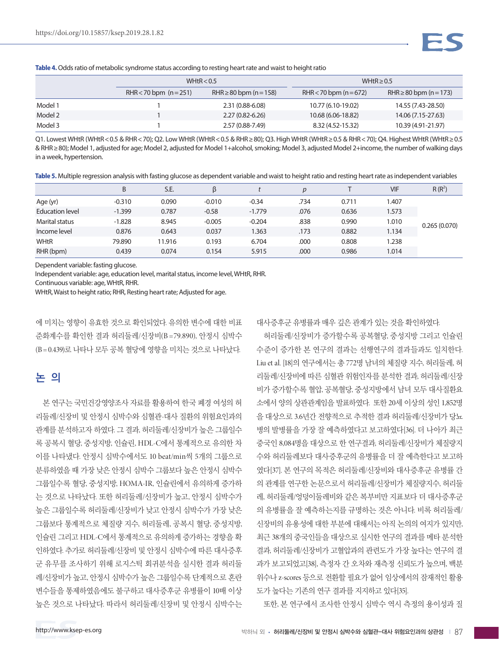**Table 4.** Odds ratio of metabolic syndrome status according to resting heart rate and waist to height ratio

|         | WHtR $< 0.5$           |                             | WHtR $\geq$ 0.5        |                             |  |  |
|---------|------------------------|-----------------------------|------------------------|-----------------------------|--|--|
|         | RHR < 70 bpm $(n=251)$ | RHR $\geq$ 80 bpm (n = 158) | RHR < 70 bpm $(n=672)$ | RHR $\geq$ 80 bpm (n = 173) |  |  |
| Model 1 |                        | 2.31 (0.88-6.08)            | 10.77 (6.10-19.02)     | 14.55 (7.43-28.50)          |  |  |
| Model 2 |                        | $2.27(0.82 - 6.26)$         | 10.68 (6.06-18.82)     | 14.06 (7.15-27.63)          |  |  |
| Model 3 |                        | 2.57 (0.88-7.49)            | 8.32 (4.52-15.32)      | 10.39 (4.91-21.97)          |  |  |

Q1. Lowest WHtR (WHtR<0.5 & RHR<70); Q2. Low WHtR (WHtR<0.5 & RHR≥80); Q3. High WHtR (WHtR≥0.5 & RHR<70); Q4. Highest WHtR (WHtR≥0.5 & RHR≥80); Model 1, adjusted for age; Model 2, adjusted for Model 1+alcohol, smoking; Model 3, adjusted Model 2+income, the number of walking days in a week, hypertension.

**Table 5.** Multiple regression analysis with fasting glucose as dependent variable and waist to height ratio and resting heart rate as independent variables

|                       | B        | S.E.   | ß        |          |      |       | VIF   | $R(R^2)$     |
|-----------------------|----------|--------|----------|----------|------|-------|-------|--------------|
| Age (yr)              | $-0.310$ | 0.090  | $-0.010$ | $-0.34$  | .734 | 0.711 | 1.407 |              |
| Education level       | $-1.399$ | 0.787  | $-0.58$  | $-1.779$ | .076 | 0.636 | 1.573 |              |
| <b>Marital status</b> | $-1.828$ | 8.945  | $-0.005$ | $-0.204$ | .838 | 0.990 | 1.010 | 0.265(0.070) |
| Income level          | 0.876    | 0.643  | 0.037    | 1.363    | .173 | 0.882 | 1.134 |              |
| <b>WHtR</b>           | 79.890   | 11.916 | 0.193    | 6.704    | .000 | 0.808 | 1.238 |              |
| RHR (bpm)             | 0.439    | 0.074  | 0.154    | 5.915    | .000 | 0.986 | 1.014 |              |

Dependent variable: fasting glucose.

Independent variable: age, education level, marital status, income level, WHtR, RHR.

Continuous variable: age, WHtR, RHR.

WHtR, Waist to height ratio; RHR, Resting heart rate; Adjusted for age.

에 미치는 영향이 유효한 것으로 확인되었다. 유의한 변수에 대한 비표 준화계수를 확인한 결과 허리둘레/신장비(B =79.890), 안정시 심박수 (B = 0.439)로 나타나 모두 공복 혈당에 영향을 미치는 것으로 나타났다.

# 논 의

본 연구는 국민건강영양조사 자료를 활용하여 한국 폐경 여성의 허 리둘레/신장비 및 안정시 심박수와 심혈관-대사 질환의 위험요인과의 관계를 분석하고자 하였다. 그 결과, 허리둘레/신장비가 높은 그룹일수 록 공복시 혈당, 중성지방, 인슐린, HDL-C에서 통계적으로 유의한 차 이를 나타냈다. 안정시 심박수에서도 10 beat/min씩 5개의 그룹으로 분류하였을 때 가장 낮은 안정시 심박수 그룹보다 높은 안정시 심박수 그룹일수록 혈당, 중성지방, HOMA-IR, 인슐린에서 유의하게 증가하 는 것으로 나타났다. 또한 허리둘레/신장비가 높고, 안정시 심박수가 높은 그룹일수록 허리둘레/신장비가 낮고 안정시 심박수가 가장 낮은 그룹보다 통계적으로 체질량 지수, 허리둘레, 공복시 혈당, 중성지방, 인슐린 그리고 HDL-C에서 통계적으로 유의하게 증가하는 경향을 확 인하였다. 추가로 허리둘레/신장비 및 안정시 심박수에 따른 대사증후 군 유무를 조사하기 위해 로지스틱 회귀분석을 실시한 결과 허리둘 레/신장비가 높고, 안정시 심박수가 높은 그룹일수록 단계적으로 혼란 변수들을 통제하였음에도 불구하고 대사증후군 유병률이 10배 이상 높은 것으로 나타났다. 따라서 허리둘레/신장비 및 안정시 심박수는

대사증후군 유병률과 매우 깊은 관계가 있는 것을 확인하였다.

허리둘레/신장비가 증가할수록 공복혈당, 중성지방 그리고 인슐린 수준이 증가한 본 연구의 결과는 선행연구의 결과들과도 일치한다. Liu et al. [18]의 연구에서는 총 772명 남녀의 체질량 지수, 허리둘레, 허 리둘레/신장비에 따른 심혈관 위험인자를 분석한 결과, 허리둘레/신장 비가 증가할수록 혈압, 공복혈당, 중성지방에서 남녀 모두 대사질환요 소에서 양의 상관관계임을 발표하였다. 또한 20세 이상의 성인 1,852명 을 대상으로 3.6년간 전향적으로 추적한 결과 허리둘레/신장비가 당뇨 병의 발병률을 가장 잘 예측하였다고 보고하였다[36]. 더 나아가 최근 중국인 8,084명을 대상으로 한 연구결과, 허리둘레/신장비가 체질량지 수와 허리둘레보다 대사증후군의 유병률을 더 잘 예측한다고 보고하 였다[37]. 본 연구의 목적은 허리둘레/신장비와 대사증후군 유병률 간 의 관계를 연구한 논문으로서 허리둘레/신장비가 체질량지수, 허리둘 레, 허리둘레/엉덩이둘레비와 같은 복부비만 지표보다 더 대사증후군 의 유병률을 잘 예측하는지를 규명하는 것은 아니다. 비록 허리둘레/ 신장비의 유용성에 대한 부분에 대해서는 아직 논의의 여지가 있지만, 최근 38개의 중국인들을 대상으로 실시한 연구의 결과를 메타 분석한 결과, 허리둘레/신장비가 고혈압과의 관련도가 가장 높다는 연구의 결 과가 보고되었고[38], 측정자 간 오차와 재측정 신뢰도가 높으며, 백분 위수나 z-scores 등으로 전환할 필요가 없어 임상에서의 잠재적인 활용 도가 높다는 기존의 연구 결과를 지지하고 있다[35].

또한, 본 연구에서 조사한 안정시 심박수 역시 측정의 용이성과 질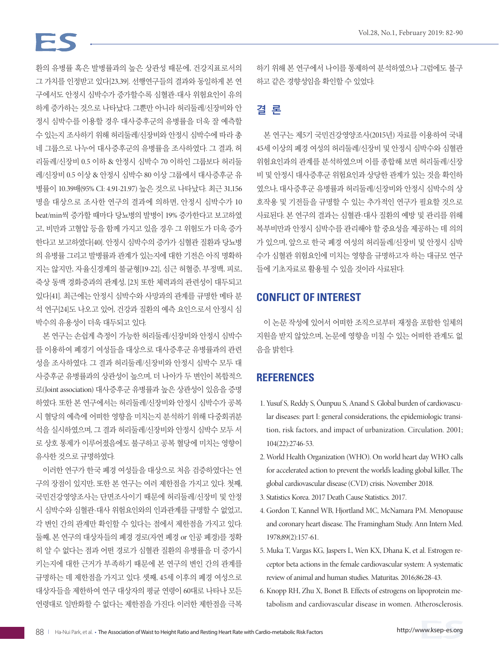# $-<$

환의 유병률 혹은 발병률과의 높은 상관성 때문에, 건강지표로서의 그 가치를 인정받고 있다[23,39]. 선행연구들의 결과와 동일하게 본 연 구에서도 안정시 심박수가 증가할수록 심혈관-대사 위험요인이 유의 하게 증가하는 것으로 나타났다. 그뿐만 아니라 허리둘레/신장비와 안 정시 심박수를 이용할 경우 대사증후군의 유병률을 더욱 잘 예측할 수 있는지 조사하기 위해 허리둘레/신장비와 안정시 심박수에 따라 총 네 그룹으로 나누어 대사증후군의 유병률을 조사하였다. 그 결과, 허 리둘레/신장비 0.5 이하 & 안정시 심박수 70 이하인 그룹보다 허리둘 레/신장비 0.5 이상 & 안정시 심박수 80 이상 그룹에서 대사증후군 유 병률이 10.39배(95% CI: 4.91-21.97) 높은 것으로 나타났다. 최근 31,156 명을 대상으로 조사한 연구의 결과에 의하면, 안정시 심박수가 10 beat/min씩 증가할 때마다 당뇨병의 발병이 19% 증가한다고 보고하였 고, 비만과 고혈압 등을 함께 가지고 있을 경우 그 위험도가 더욱 증가 한다고 보고하였다[40]. 안정시 심박수의 증가가 심혈관 질환과 당뇨병 의 유병률 그리고 발병률과 관계가 있는지에 대한 기전은 아직 명확하 지는 않지만, 자율신경계의 불균형[19-22], 심근 허혈증, 부정맥, 피로, 죽상 동맥 경화증과의 관계성, [23] 또한 체력과의 관련성이 대두되고 있다[41]. 최근에는 안정시 심박수와 사망과의 관계를 규명한 메타 분 석 연구[24]도 나오고 있어, 건강과 질환의 예측 요인으로서 안정시 심 박수의 유용성이 더욱 대두되고 있다.

본 연구는 손쉽게 측정이 가능한 허리둘레/신장비와 안정시 심박수 를 이용하여 폐경기 여성들을 대상으로 대사증후군 유병률과의 관련 성을 조사하였다. 그 결과 허리둘레/신장비와 안정시 심박수 모두 대 사증후군 유병률과의 상관성이 높으며, 더 나아가 두 변인이 복합적으 로(Joint association) 대사증후군 유병률과 높은 상관성이 있음을 증명 하였다. 또한 본 연구에서는 허리둘레/신장비와 안정시 심박수가 공복 시 혈당의 예측에 어떠한 영향을 미치는지 분석하기 위해 다중회귀분 석을 실시하였으며, 그 결과 허리둘레/신장비와 안정시 심박수 모두 서 로 상호 통제가 이루어졌음에도 불구하고 공복 혈당에 미치는 영향이 유사한 것으로 규명하였다.

이러한 연구가 한국 폐경 여성들을 대상으로 처음 검증하였다는 연 구의 장점이 있지만, 또한 본 연구는 여러 제한점을 가지고 있다. 첫째, 국민건강영양조사는 단면조사이기 때문에 허리둘레/신장비 및 안정 시 심박수와 심혈관-대사 위험요인와의 인과관계를 규명할 수 없었고, 각 변인 간의 관계만 확인할 수 있다는 점에서 제한점을 가지고 있다. 둘째, 본 연구의 대상자들의 폐경 경로(자연 폐경 or 인공 폐경)를 정확 히 알 수 없다는 점과 어떤 경로가 심혈관 질환의 유병률을 더 증가시 키는지에 대한 근거가 부족하기 때문에 본 연구의 변인 간의 관계를 규명하는 데 제한점을 가지고 있다. 셋째, 45세 이후의 폐경 여성으로 대상자들을 제한하여 연구 대상자의 평균 연령이 60대로 나타나 모든 연령대로 일반화할 수 없다는 제한점을 가진다. 이러한 제한점을 극복 하기 위해 본 연구에서 나이를 통제하여 분석하였으나 그럼에도 불구 하고 같은 경향성임을 확인할 수 있었다.

# 결 론

본 연구는 제5기 국민건강영양조사(2015년) 자료를 이용하여 국내 45세 이상의 폐경 여성의 허리둘레/신장비 및 안정시 심박수와 심혈관 위험요인과의 관계를 분석하였으며 이를 종합해 보면 허리둘레/신장 비 및 안정시 대사증후군 위험요인과 상당한 관계가 있는 것을 확인하 였으나, 대사증후군 유병률과 허리둘레/신장비와 안정시 심박수의 상 호작용 및 기전들을 규명할 수 있는 추가적인 연구가 필요할 것으로 사료된다. 본 연구의 결과는 심혈관-대사 질환의 예방 및 관리를 위해 복부비만과 안정시 심박수를 관리해야 할 중요성을 제공하는 데 의의 가 있으며, 앞으로 한국 폐경 여성의 허리둘레/신장비 및 안정시 심박 수가 심혈관 위험요인에 미치는 영향을 규명하고자 하는 대규모 연구 들에 기초자료로 활용될 수 있을 것이라 사료된다.

# **CONFLICT OF INTEREST**

이 논문 작성에 있어서 어떠한 조직으로부터 재정을 포함한 일체의 지원을 받지 않았으며, 논문에 영향을 미칠 수 있는 어떠한 관계도 없 음을 밝힌다.

### **REFERENCES**

- 1. Yusuf S, Reddy S, Ôunpuu S, Anand S. Global burden of cardiovascular diseases: part I: general considerations, the epidemiologic transition, risk factors, and impact of urbanization. Circulation. 2001; 104(22):2746-53.
- 2. World Health Organization (WHO). On world heart day WHO calls for accelerated action to prevent the world's leading global killer, The global cardiovascular disease (CVD) crisis. November 2018.
- 3. Statistics Korea. 2017 Death Cause Statistics. 2017.
- 4. Gordon T, Kannel WB, Hjortland MC, McNamara PM. Menopause and coronary heart disease. The Framingham Study. Ann Intern Med. 1978;89(2):157-61.
- 5. Muka T, Vargas KG, Jaspers L, Wen KX, Dhana K, et al. Estrogen receptor beta actions in the female cardiovascular system: A systematic review of animal and human studies. Maturitas. 2016;86:28-43.
- 6. Knopp RH, Zhu X, Bonet B. Effects of estrogens on lipoprotein metabolism and cardiovascular disease in women. Atherosclerosis.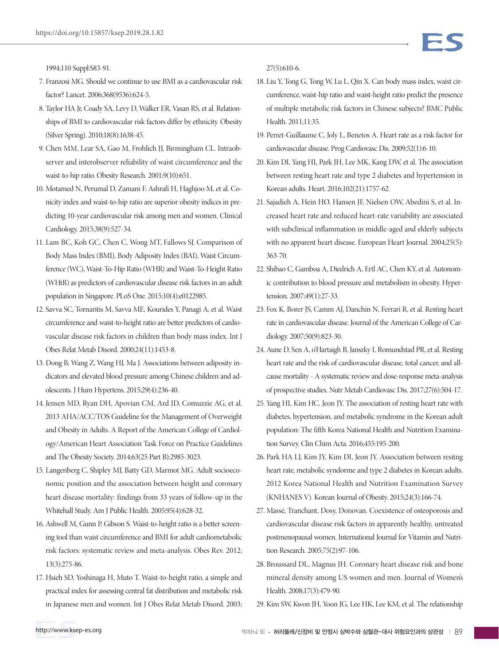1994;110 Suppl:S83-91.

- 7. Franzosi MG. Should we continue to use BMI as a cardiovascular risk factor? Lancet. 2006;368(9536):624-5.
- 8. Taylor HA Jr, Coady SA, Levy D, Walker ER, Vasan RS, et al. Relationships of BMI to cardiovascular risk factors differ by ethnicity. Obesity (Silver Spring). 2010;18(8):1638-45.
- 9. Chen MM, Lear SA, Gao M, Frohlich JJ, Birmingham CL. Intraobserver and interobserver reliability of waist circumference and the waist-to-hip ratio. Obesity Research. 2001;9(10):651.
- 10. Motamed N, Perumal D, Zamani F, Ashrafi H, Haghjoo M, et al. Conicity index and waist-to-hip ratio are superior obesity indices in predicting 10-year cardiovascular risk among men and women. Clinical Cardiology. 2015;38(9):527-34.
- 11. Lam BC, Koh GC, Chen C, Wong MT, Fallows SJ. Comparison of Body Mass Index (BMI), Body Adiposity Index (BAI), Waist Circumference (WC), Waist-To-Hip Ratio (WHR) and Waist-To-Height Ratio (WHtR) as predictors of cardiovascular disease risk factors in an adult population in Singapore. PLoS One. 2015;10(4):e0122985.
- 12. Savva SC, Tornaritis M, Savva ME, Kourides Y, Panagi A, et al. Waist circumference and waist-to-height ratio are better predictors of cardiovascular disease risk factors in children than body mass index. Int J Obes Relat Metab Disord. 2000;24(11):1453-8.
- 13. Dong B, Wang Z, Wang HJ, Ma J. Associations between adiposity indicators and elevated blood pressure among Chinese children and adolescents. J Hum Hypertens. 2015;29(4):236-40.
- 14. Jensen MD, Ryan DH, Apovian CM, Ard JD, Comuzzie AG, et al. 2013 AHA/ACC/TOS Guideline for the Management of Overweight and Obesity in Adults. A Report of the American College of Cardiology/American Heart Association Task Force on Practice Guidelines and The Obesity Society. 2014;63(25 Part B):2985-3023.
- 15. Langenberg C, Shipley MJ, Batty GD, Marmot MG. Adult socioeconomic position and the association between height and coronary heart disease mortality: findings from 33 years of follow-up in the Whitehall Study. Am J Public Health. 2005;95(4):628-32.
- 16. Ashwell M, Gunn P, Gibson S. Waist-to-height ratio is a better screening tool than waist circumference and BMI for adult cardiometabolic risk factors: systematic review and meta-analysis. Obes Rev. 2012; 13(3):275-86.
- 17. Hsieh SD, Yoshinaga H, Muto T. Waist-to-height ratio, a simple and practical index for assessing central fat distribution and metabolic risk in Japanese men and women. Int J Obes Relat Metab Disord. 2003;

27(5):610-6.

- 18. Liu Y, Tong G, Tong W, Lu L, Qin X. Can body mass index, waist circumference, waist-hip ratio and waist-height ratio predict the presence of multiple metabolic risk factors in Chinese subjects? BMC Public Health. 2011;11:35.
- 19. Perret-Guillaume C, Joly L, Benetos A. Heart rate as a risk factor for cardiovascular disease. Prog Cardiovasc Dis. 2009;52(1):6-10.
- 20. Kim DI, Yang HI, Park JH, Lee MK, Kang DW, et al. The association between resting heart rate and type 2 diabetes and hypertension in Korean adults. Heart. 2016;102(21):1757-62.
- 21. Sajadieh A, Hein HO, Hansen JF, Nielsen OW, Abedini S, et al. Increased heart rate and reduced heart-rate variability are associated with subclinical inflammation in middle-aged and elderly subjects with no apparent heart disease. European Heart Journal. 2004;25(5): 363-70.
- 22. Shibao C, Gamboa A, Diedrich A, Ertl AC, Chen KY, et al. Autonomic contribution to blood pressure and metabolism in obesity. Hypertension. 2007;49(1):27-33.
- 23. Fox K, Borer JS, Camm AJ, Danchin N, Ferrari R, et al. Resting heart rate in cardiovascular disease. Journal of the American College of Cardiology. 2007;50(9):823-30.
- 24. Aune D, Sen A, o'Hartaigh B, Janszky I, Romundstad PR, et al. Resting heart rate and the risk of cardiovascular disease, total cancer, and allcause mortality - A systematic review and dose-response meta-analysis of prospective studies. Nutr Metab Cardiovasc Dis. 2017;27(6):504-17.
- 25. Yang HI, Kim HC, Jeon JY. The association of resting heart rate with diabetes, hypertension, and metabolic syndrome in the Korean adult population: The fifth Korea National Health and Nutrition Examination Survey. Clin Chim Acta. 2016;455:195-200.
- 26. Park HA LJ, Kim JY, Kim DI, Jeon JY. Association between resitng heart rate, metabolic syndorme and type 2 diabetes in Korean adults. 2012 Korea National Health and Nutrition Examination Survey (KNHANES V). Korean Journal of Obesity. 2015;24(3):166-74.
- 27. Massé, Tranchant, Dosy, Donovan. Coexistence of osteoporosis and cardiovascular disease risk factors in apparently healthy, untreated postmenopausal women. International Journal for Vitamin and Nutrition Research. 2005;75(2):97-106.
- 28. Broussard DL, Magnus JH. Coronary heart disease risk and bone mineral density among US women and men. Journal of Women's Health. 2008;17(3):479-90.
- 29. Kim SW, Kwon JH, Yoon JG, Lee HK, Lee KM, et al. The relationship